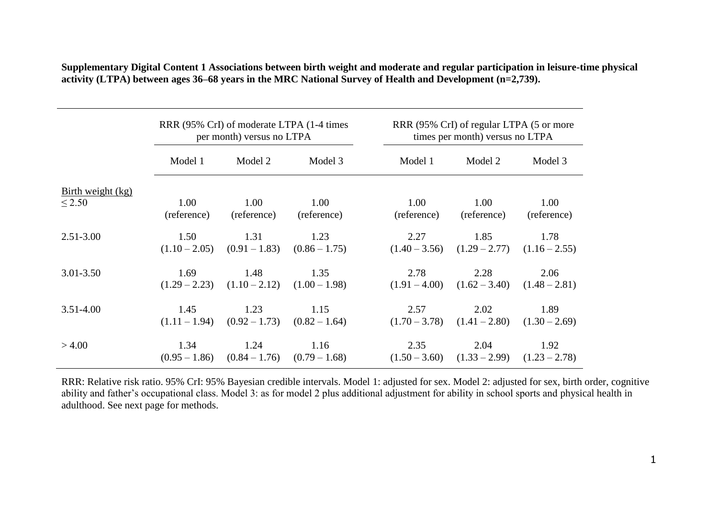|                                    | RRR (95% CrI) of moderate LTPA (1-4 times)<br>per month) versus no LTPA |                                                         |                     | RRR (95% CrI) of regular LTPA (5 or more<br>times per month) versus no LTPA |                     |                                                         |  |
|------------------------------------|-------------------------------------------------------------------------|---------------------------------------------------------|---------------------|-----------------------------------------------------------------------------|---------------------|---------------------------------------------------------|--|
|                                    | Model 1                                                                 | Model 2                                                 | Model 3             | Model 1                                                                     | Model 2             | Model 3                                                 |  |
| Birth weight $(kg)$<br>$\leq$ 2.50 | 1.00                                                                    | 1.00                                                    | 1.00                | 1.00                                                                        | 1.00                | 1.00                                                    |  |
| $2.51 - 3.00$                      | (reference)<br>1.50                                                     | (reference)<br>1.31                                     | (reference)<br>1.23 | (reference)<br>2.27                                                         | (reference)<br>1.85 | (reference)<br>1.78                                     |  |
| $3.01 - 3.50$                      | 1.69                                                                    | $(1.10-2.05)$ $(0.91-1.83)$ $(0.86-1.75)$<br>1.48       | 1.35                | 2.78                                                                        | 2.28                | $(1.40 - 3.56)$ $(1.29 - 2.77)$ $(1.16 - 2.55)$<br>2.06 |  |
| $3.51 - 4.00$                      | 1.45                                                                    | $(1.29 - 2.23)$ $(1.10 - 2.12)$ $(1.00 - 1.98)$<br>1.23 | 1.15                | 2.57                                                                        | 2.02                | $(1.91 - 4.00)$ $(1.62 - 3.40)$ $(1.48 - 2.81)$<br>1.89 |  |
|                                    |                                                                         | $(1.11 - 1.94)$ $(0.92 - 1.73)$ $(0.82 - 1.64)$         |                     |                                                                             |                     | $(1.70 - 3.78)$ $(1.41 - 2.80)$ $(1.30 - 2.69)$         |  |
| >4.00                              | 1.34                                                                    | 1.24<br>$(0.95 - 1.86)$ $(0.84 - 1.76)$ $(0.79 - 1.68)$ | 1.16                | 2.35                                                                        | 2.04                | 1.92<br>$(1.50 - 3.60)$ $(1.33 - 2.99)$ $(1.23 - 2.78)$ |  |

**Supplementary Digital Content 1 Associations between birth weight and moderate and regular participation in leisure-time physical activity (LTPA) between ages 36–68 years in the MRC National Survey of Health and Development (n=2,739).**

RRR: Relative risk ratio. 95% CrI: 95% Bayesian credible intervals. Model 1: adjusted for sex. Model 2: adjusted for sex, birth order, cognitive ability and father's occupational class. Model 3: as for model 2 plus additional adjustment for ability in school sports and physical health in adulthood. See next page for methods.